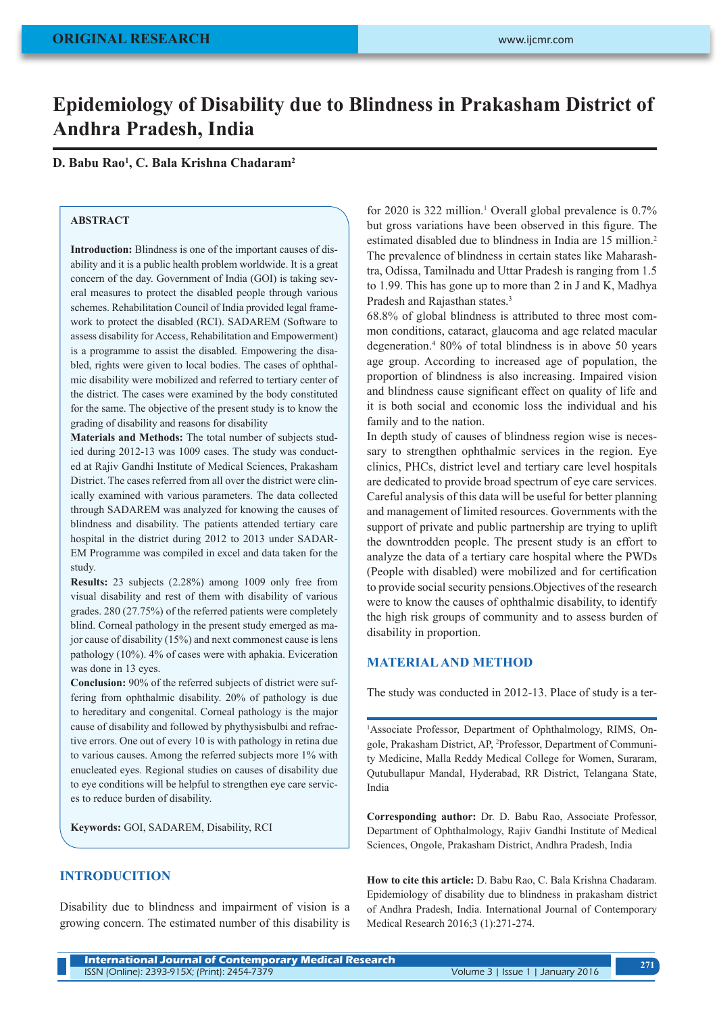# **Epidemiology of Disability due to Blindness in Prakasham District of Andhra Pradesh, India**

## **D. Babu Rao1 , C. Bala Krishna Chadaram2**

## **ABSTRACT**

**Introduction:** Blindness is one of the important causes of disability and it is a public health problem worldwide. It is a great concern of the day. Government of India (GOI) is taking several measures to protect the disabled people through various schemes. Rehabilitation Council of India provided legal framework to protect the disabled (RCI). SADAREM (Software to assess disability for Access, Rehabilitation and Empowerment) is a programme to assist the disabled. Empowering the disabled, rights were given to local bodies. The cases of ophthalmic disability were mobilized and referred to tertiary center of the district. The cases were examined by the body constituted for the same. The objective of the present study is to know the grading of disability and reasons for disability

**Materials and Methods:** The total number of subjects studied during 2012-13 was 1009 cases. The study was conducted at Rajiv Gandhi Institute of Medical Sciences, Prakasham District. The cases referred from all over the district were clinically examined with various parameters. The data collected through SADAREM was analyzed for knowing the causes of blindness and disability. The patients attended tertiary care hospital in the district during 2012 to 2013 under SADAR-EM Programme was compiled in excel and data taken for the study.

**Results:** 23 subjects (2.28%) among 1009 only free from visual disability and rest of them with disability of various grades. 280 (27.75%) of the referred patients were completely blind. Corneal pathology in the present study emerged as major cause of disability (15%) and next commonest cause is lens pathology (10%). 4% of cases were with aphakia. Eviceration was done in 13 eyes.

**Conclusion:** 90% of the referred subjects of district were suffering from ophthalmic disability. 20% of pathology is due to hereditary and congenital. Corneal pathology is the major cause of disability and followed by phythysisbulbi and refractive errors. One out of every 10 is with pathology in retina due to various causes. Among the referred subjects more 1% with enucleated eyes. Regional studies on causes of disability due to eye conditions will be helpful to strengthen eye care services to reduce burden of disability.

**Keywords:** GOI, SADAREM, Disability, RCI

## **INTRODUCITION**

Disability due to blindness and impairment of vision is a growing concern. The estimated number of this disability is

for 2020 is 322 million.<sup>1</sup> Overall global prevalence is 0.7% but gross variations have been observed in this figure. The estimated disabled due to blindness in India are 15 million.<sup>2</sup> The prevalence of blindness in certain states like Maharashtra, Odissa, Tamilnadu and Uttar Pradesh is ranging from 1.5 to 1.99. This has gone up to more than 2 in J and K, Madhya Pradesh and Rajasthan states.<sup>3</sup>

68.8% of global blindness is attributed to three most common conditions, cataract, glaucoma and age related macular degeneration.4 80% of total blindness is in above 50 years age group. According to increased age of population, the proportion of blindness is also increasing. Impaired vision and blindness cause significant effect on quality of life and it is both social and economic loss the individual and his family and to the nation.

In depth study of causes of blindness region wise is necessary to strengthen ophthalmic services in the region. Eye clinics, PHCs, district level and tertiary care level hospitals are dedicated to provide broad spectrum of eye care services. Careful analysis of this data will be useful for better planning and management of limited resources. Governments with the support of private and public partnership are trying to uplift the downtrodden people. The present study is an effort to analyze the data of a tertiary care hospital where the PWDs (People with disabled) were mobilized and for certification to provide social security pensions.Objectives of the research were to know the causes of ophthalmic disability, to identify the high risk groups of community and to assess burden of disability in proportion.

## **MATERIAL AND METHOD**

The study was conducted in 2012-13. Place of study is a ter-

1 Associate Professor, Department of Ophthalmology, RIMS, Ongole, Prakasham District, AP, 2 Professor, Department of Community Medicine, Malla Reddy Medical College for Women, Suraram, Qutubullapur Mandal, Hyderabad, RR District, Telangana State, India

**Corresponding author:** Dr. D. Babu Rao, Associate Professor, Department of Ophthalmology, Rajiv Gandhi Institute of Medical Sciences, Ongole, Prakasham District, Andhra Pradesh, India

**How to cite this article:** D. Babu Rao, C. Bala Krishna Chadaram. Epidemiology of disability due to blindness in prakasham district of Andhra Pradesh, India. International Journal of Contemporary Medical Research 2016;3 (1):271-274.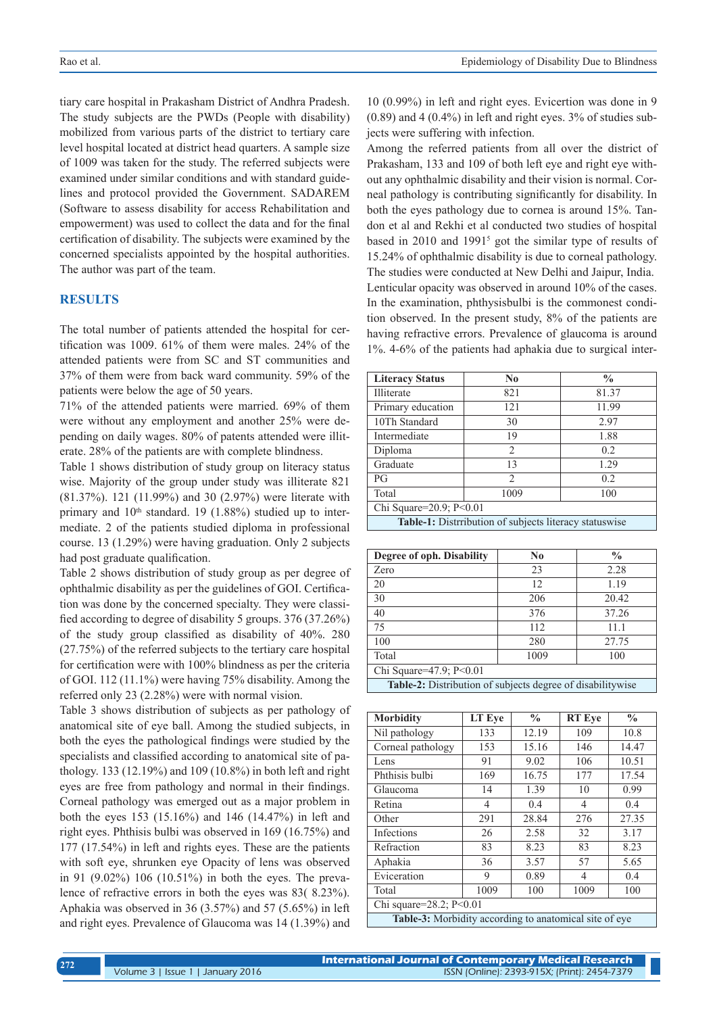tiary care hospital in Prakasham District of Andhra Pradesh. The study subjects are the PWDs (People with disability) mobilized from various parts of the district to tertiary care level hospital located at district head quarters. A sample size of 1009 was taken for the study. The referred subjects were examined under similar conditions and with standard guidelines and protocol provided the Government. SADAREM (Software to assess disability for access Rehabilitation and empowerment) was used to collect the data and for the final certification of disability. The subjects were examined by the concerned specialists appointed by the hospital authorities. The author was part of the team.

#### **RESULTS**

The total number of patients attended the hospital for certification was 1009. 61% of them were males. 24% of the attended patients were from SC and ST communities and 37% of them were from back ward community. 59% of the patients were below the age of 50 years.

71% of the attended patients were married. 69% of them were without any employment and another 25% were depending on daily wages. 80% of patents attended were illiterate. 28% of the patients are with complete blindness.

Table 1 shows distribution of study group on literacy status wise. Majority of the group under study was illiterate 821 (81.37%). 121 (11.99%) and 30 (2.97%) were literate with primary and  $10<sup>th</sup>$  standard. 19 (1.88%) studied up to intermediate. 2 of the patients studied diploma in professional course. 13 (1.29%) were having graduation. Only 2 subjects had post graduate qualification.

Table 2 shows distribution of study group as per degree of ophthalmic disability as per the guidelines of GOI. Certification was done by the concerned specialty. They were classified according to degree of disability 5 groups. 376 (37.26%) of the study group classified as disability of 40%. 280 (27.75%) of the referred subjects to the tertiary care hospital for certification were with 100% blindness as per the criteria of GOI. 112 (11.1%) were having 75% disability. Among the referred only 23 (2.28%) were with normal vision.

Table 3 shows distribution of subjects as per pathology of anatomical site of eye ball. Among the studied subjects, in both the eyes the pathological findings were studied by the specialists and classified according to anatomical site of pathology. 133 (12.19%) and 109 (10.8%) in both left and right eyes are free from pathology and normal in their findings. Corneal pathology was emerged out as a major problem in both the eyes 153 (15.16%) and 146 (14.47%) in left and right eyes. Phthisis bulbi was observed in 169 (16.75%) and 177 (17.54%) in left and rights eyes. These are the patients with soft eye, shrunken eye Opacity of lens was observed in 91 (9.02%) 106 (10.51%) in both the eyes. The prevalence of refractive errors in both the eyes was 83( 8.23%). Aphakia was observed in 36 (3.57%) and 57 (5.65%) in left and right eyes. Prevalence of Glaucoma was 14 (1.39%) and

10 (0.99%) in left and right eyes. Evicertion was done in 9 (0.89) and 4 (0.4%) in left and right eyes. 3% of studies subjects were suffering with infection.

Among the referred patients from all over the district of Prakasham, 133 and 109 of both left eye and right eye without any ophthalmic disability and their vision is normal. Corneal pathology is contributing significantly for disability. In both the eyes pathology due to cornea is around 15%. Tandon et al and Rekhi et al conducted two studies of hospital based in 2010 and 1991<sup>5</sup> got the similar type of results of 15.24% of ophthalmic disability is due to corneal pathology. The studies were conducted at New Delhi and Jaipur, India. Lenticular opacity was observed in around 10% of the cases. In the examination, phthysisbulbi is the commonest condition observed. In the present study, 8% of the patients are having refractive errors. Prevalence of glaucoma is around 1%. 4-6% of the patients had aphakia due to surgical inter-

| <b>Literacy Status</b>                                            | N <sub>0</sub> | $\frac{0}{0}$ |  |  |
|-------------------------------------------------------------------|----------------|---------------|--|--|
| Illiterate                                                        | 821            | 81.37         |  |  |
| Primary education                                                 | 121            | 11.99         |  |  |
| 10Th Standard                                                     | 30             | 2.97          |  |  |
| Intermediate                                                      | 19             | 1.88          |  |  |
| Diploma                                                           | $\overline{2}$ | 0.2           |  |  |
| Graduate                                                          | 13             | 1.29          |  |  |
| PG                                                                | $\mathfrak{D}$ | 0.2           |  |  |
| Total                                                             | 1009           | 100           |  |  |
| Chi Square=20.9; P<0.01                                           |                |               |  |  |
| APRIL 1. A. Petrolitic at an a Contribution of the company of the |                |               |  |  |

**Table-1:** Distrribution of subjects literacy statuswise

| Degree of oph. Disability                                         | No   | $\frac{0}{0}$ |  |  |
|-------------------------------------------------------------------|------|---------------|--|--|
| Zero                                                              | 23   | 2.28          |  |  |
| 20                                                                | 12   | 1.19          |  |  |
| 30                                                                | 206  | 20.42         |  |  |
| 40                                                                | 376  | 37.26         |  |  |
| 75                                                                | 112  | 11.1          |  |  |
| 100                                                               | 280  | 27.75         |  |  |
| Total                                                             | 1009 | 100           |  |  |
| Chi Square=47.9; P<0.01                                           |      |               |  |  |
| <b>Table-2:</b> Distribution of subjects degree of disabilitywise |      |               |  |  |

| <b>Morbidity</b>                                       | LT Eye | $\frac{0}{0}$ | <b>RT</b> Eye | $\frac{0}{0}$ |
|--------------------------------------------------------|--------|---------------|---------------|---------------|
| Nil pathology                                          | 133    | 12.19         | 109           | 10.8          |
| Corneal pathology                                      | 153    | 15.16         | 146           | 14.47         |
| Lens                                                   | 91     | 9.02          | 106           | 10.51         |
| Phthisis bulbi                                         | 169    | 16.75         | 177           | 17.54         |
| Glaucoma                                               | 14     | 1.39          | 10            | 0.99          |
| Retina                                                 | 4      | 0.4           | 4             | 0.4           |
| Other                                                  | 291    | 28.84         | 276           | 27.35         |
| Infections                                             | 26     | 2.58          | 32            | 3.17          |
| Refraction                                             | 83     | 8.23          | 83            | 8.23          |
| Aphakia                                                | 36     | 3.57          | 57            | 5.65          |
| Eviceration                                            | 9      | 0.89          | 4             | 0.4           |
| Total                                                  | 1009   | 100           | 1009          | 100           |
| Chi square= $28.2$ ; P<0.01                            |        |               |               |               |
| Table-3: Morbidity according to anatomical site of eye |        |               |               |               |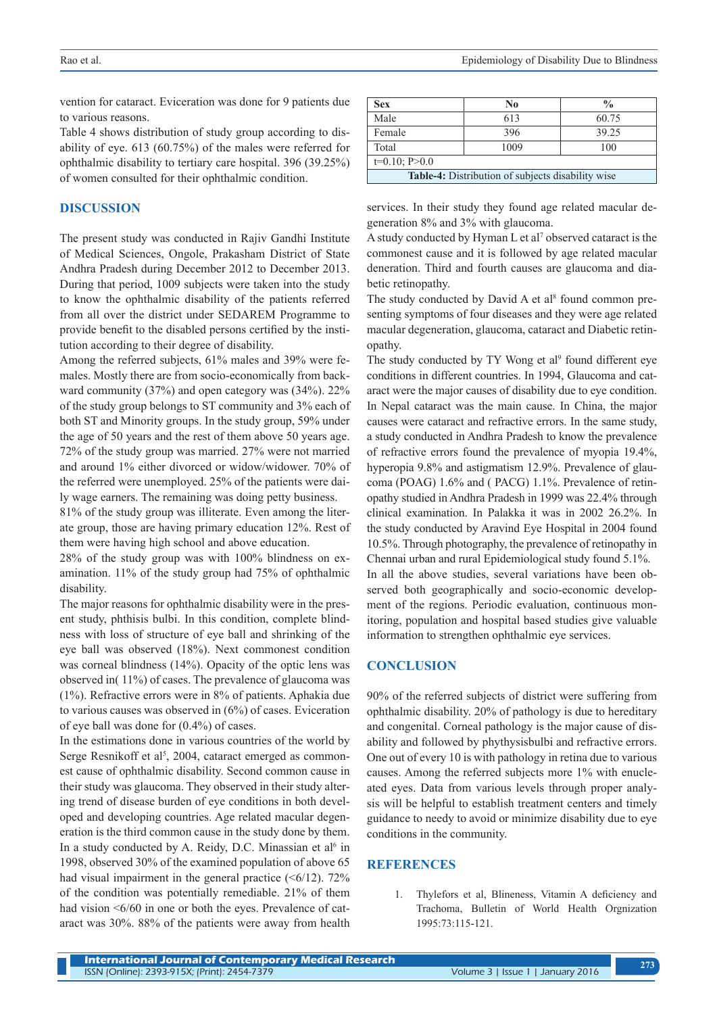vention for cataract. Eviceration was done for 9 patients due to various reasons.

Table 4 shows distribution of study group according to disability of eye. 613 (60.75%) of the males were referred for ophthalmic disability to tertiary care hospital. 396 (39.25%) of women consulted for their ophthalmic condition.

### **DISCUSSION**

The present study was conducted in Rajiv Gandhi Institute of Medical Sciences, Ongole, Prakasham District of State Andhra Pradesh during December 2012 to December 2013. During that period, 1009 subjects were taken into the study to know the ophthalmic disability of the patients referred from all over the district under SEDAREM Programme to provide benefit to the disabled persons certified by the institution according to their degree of disability.

Among the referred subjects, 61% males and 39% were females. Mostly there are from socio-economically from backward community (37%) and open category was (34%). 22% of the study group belongs to ST community and 3% each of both ST and Minority groups. In the study group, 59% under the age of 50 years and the rest of them above 50 years age. 72% of the study group was married. 27% were not married and around 1% either divorced or widow/widower. 70% of the referred were unemployed. 25% of the patients were daily wage earners. The remaining was doing petty business.

81% of the study group was illiterate. Even among the literate group, those are having primary education 12%. Rest of them were having high school and above education.

28% of the study group was with 100% blindness on examination. 11% of the study group had 75% of ophthalmic disability.

The major reasons for ophthalmic disability were in the present study, phthisis bulbi. In this condition, complete blindness with loss of structure of eye ball and shrinking of the eye ball was observed (18%). Next commonest condition was corneal blindness (14%). Opacity of the optic lens was observed in( 11%) of cases. The prevalence of glaucoma was (1%). Refractive errors were in 8% of patients. Aphakia due to various causes was observed in (6%) of cases. Eviceration of eye ball was done for (0.4%) of cases.

In the estimations done in various countries of the world by Serge Resnikoff et al<sup>5</sup>, 2004, cataract emerged as commonest cause of ophthalmic disability. Second common cause in their study was glaucoma. They observed in their study altering trend of disease burden of eye conditions in both developed and developing countries. Age related macular degeneration is the third common cause in the study done by them. In a study conducted by A. Reidy, D.C. Minassian et al<sup>6</sup> in 1998, observed 30% of the examined population of above 65 had visual impairment in the general practice  $(\leq 6/12)$ . 72% of the condition was potentially remediable. 21% of them had vision <6/60 in one or both the eyes. Prevalence of cataract was 30%. 88% of the patients were away from health

| <b>Sex</b>                                               | N <sub>0</sub> | $\frac{0}{0}$ |  |  |  |
|----------------------------------------------------------|----------------|---------------|--|--|--|
| Male                                                     | 613            | 60.75         |  |  |  |
| Female                                                   | 396            | 39.25         |  |  |  |
| Total                                                    | 1009           | 100           |  |  |  |
| $t=0.10; P>0.0$                                          |                |               |  |  |  |
| <b>Table-4:</b> Distribution of subjects disability wise |                |               |  |  |  |

services. In their study they found age related macular degeneration 8% and 3% with glaucoma.

A study conducted by Hyman L et al<sup>7</sup> observed cataract is the commonest cause and it is followed by age related macular deneration. Third and fourth causes are glaucoma and diabetic retinopathy.

The study conducted by David A et  $al<sup>8</sup>$  found common presenting symptoms of four diseases and they were age related macular degeneration, glaucoma, cataract and Diabetic retinopathy.

The study conducted by TY Wong et al<sup>9</sup> found different eye conditions in different countries. In 1994, Glaucoma and cataract were the major causes of disability due to eye condition. In Nepal cataract was the main cause. In China, the major causes were cataract and refractive errors. In the same study, a study conducted in Andhra Pradesh to know the prevalence of refractive errors found the prevalence of myopia 19.4%, hyperopia 9.8% and astigmatism 12.9%. Prevalence of glaucoma (POAG) 1.6% and ( PACG) 1.1%. Prevalence of retinopathy studied in Andhra Pradesh in 1999 was 22.4% through clinical examination. In Palakka it was in 2002 26.2%. In the study conducted by Aravind Eye Hospital in 2004 found 10.5%. Through photography, the prevalence of retinopathy in Chennai urban and rural Epidemiological study found 5.1%. In all the above studies, several variations have been observed both geographically and socio-economic development of the regions. Periodic evaluation, continuous monitoring, population and hospital based studies give valuable information to strengthen ophthalmic eye services.

## **CONCLUSION**

90% of the referred subjects of district were suffering from ophthalmic disability. 20% of pathology is due to hereditary and congenital. Corneal pathology is the major cause of disability and followed by phythysisbulbi and refractive errors. One out of every 10 is with pathology in retina due to various causes. Among the referred subjects more 1% with enucleated eyes. Data from various levels through proper analysis will be helpful to establish treatment centers and timely guidance to needy to avoid or minimize disability due to eye conditions in the community.

#### **REFERENCES**

1. Thylefors et al, Blineness, Vitamin A deficiency and Trachoma, Bulletin of World Health Orgnization 1995:73:115-121.